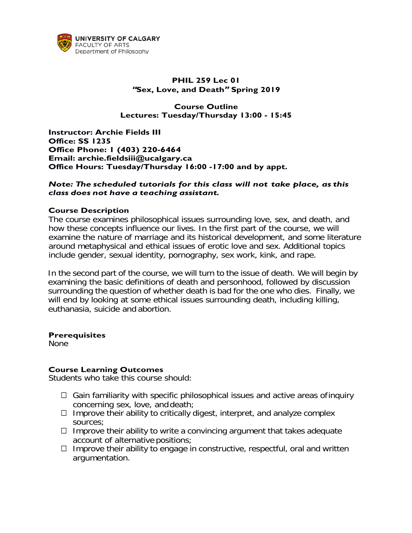

# **PHIL 259 Lec 01 "Sex, Love, and Death" Spring 2019**

## **Course Outline Lectures: Tuesday/Thursday 13:00 - 15:45**

**Instructor: Archie Fields III Office: SS 1235 Office Phone: 1 (403) 220-6464 Email: [archie.fieldsiii@ucalgary.ca](mailto:archie.fieldsiii@ucalgary.ca) Office Hours: Tuesday/Thursday 16:00 -17:00 and by appt.**

### *Note: The scheduled tutorials for this class will not take place, as this class does not have a teaching assistant.*

### **Course Description**

The course examines philosophical issues surrounding love, sex, and death, and how these concepts influence our lives. In the first part of the course, we will examine the nature of marriage and its historical development, and some literature around metaphysical and ethical issues of erotic love and sex. Additional topics include gender, sexual identity, pornography, sex work, kink, and rape.

In the second part of the course, we will turn to the issue of death. We will begin by examining the basic definitions of death and personhood, followed by discussion surrounding the question of whether death is bad for the one who dies. Finally, we will end by looking at some ethical issues surrounding death, including killing, euthanasia, suicide and abortion.

### **Prerequisites**

None

### **Course Learning Outcomes**

Students who take this course should:

- $\Box$  Gain familiarity with specific philosophical issues and active areas of inquiry concerning sex, love, and death;
- $\Box$  Improve their ability to critically digest, interpret, and analyze complex sources;
- $\Box$  Improve their ability to write a convincing argument that takes adequate account of alternative positions;
- $\Box$  Improve their ability to engage in constructive, respectful, oral and written argumentation.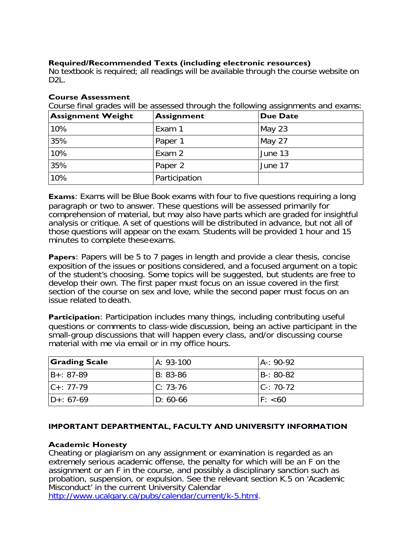# **Required/Recommended Texts (including electronic resources)**

No textbook is required; all readings will be available through the course website on  $D2L$ .

### **Course Assessment**

Course final grades will be assessed through the following assignments and exams:

| <b>Assignment Weight</b> | <b>Assignment</b> | <b>Due Date</b> |
|--------------------------|-------------------|-----------------|
| 10%                      | Exam 1            | May $23$        |
| 35%                      | Paper 1           | May 27          |
| 10%                      | Exam 2            | June 13         |
| 35%                      | Paper 2           | June 17         |
| 10%                      | Participation     |                 |

**Exams**: Exams will be Blue Book exams with four to five questions requiring a long paragraph or two to answer. These questions will be assessed primarily for comprehension of material, but may also have parts which are graded for insightful analysis or critique. A set of questions will be distributed in advance, but not all of those questions will appear on the exam. Students will be provided 1 hour and 15 minutes to complete these exams.

**Papers**: Papers will be 5 to 7 pages in length and provide a clear thesis, concise exposition of the issues or positions considered, and a focused argument on a topic of the student's choosing. Some topics will be suggested, but students are free to develop their own. The first paper must focus on an issue covered in the first section of the course on sex and love, while the second paper must focus on an issue related to death.

**Participation**: Participation includes many things, including contributing useful questions or comments to class-wide discussion, being an active participant in the small-group discussions that will happen every class, and/or discussing course material with me via email or in my office hours.

| <b>Grading Scale</b> | A: 93-100  | IA-: 90-92    |
|----------------------|------------|---------------|
| IB+: 87-89           | B: 83-86   | IB-: 80-82    |
| $ C_{+}: 77 - 79 $   | $C: 73-76$ | $C - 70 - 72$ |
| ID+: 67-69           | $D: 60-66$ | F: < 60       |

### **IMPORTANT DEPARTMENTAL, FACULTY AND UNIVERSITY INFORMATION**

#### **Academic Honesty**

Cheating or plagiarism on any assignment or examination is regarded as an extremely serious academic offense, the penalty for which will be an F on the assignment or an F in the course, and possibly a disciplinary sanction such as probation, suspension, or expulsion. See the relevant section K.5 on 'Academic Misconduct' in the current University Calendar

[http://www.ucalgary.ca/pubs/calendar/current/k-5.html.](http://www.ucalgary.ca/pubs/calendar/current/k-5.html)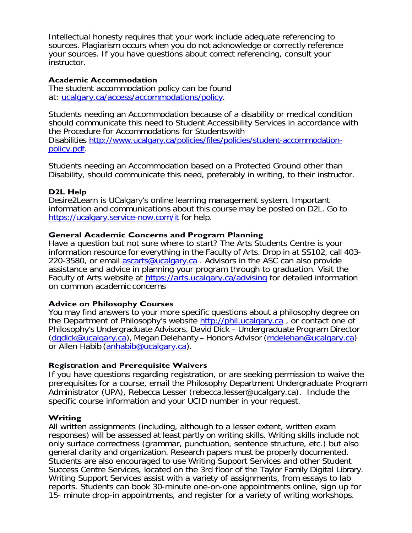Intellectual honesty requires that your work include adequate referencing to sources. Plagiarism occurs when you do not acknowledge or correctly reference your sources. If you have questions about correct referencing, consult your instructor.

#### **Academic Accommodation**

The student accommodation policy can be found at: [ucalgary.ca/access/accommodations/policy.](http://www.ucalgary.ca/access/accommodations/policy)

Students needing an Accommodation because of a disability or medical condition should communicate this need to Student Accessibility Services in accordance with the Procedure for Accommodations for Studentswith Disabilities [http://www.ucalgary.ca/policies/files/policies/student-accommodation](http://www.ucalgary.ca/policies/files/policies/student-accommodation-policy.pdf)[policy.pdf.](http://www.ucalgary.ca/policies/files/policies/student-accommodation-policy.pdf)

Students needing an Accommodation based on a Protected Ground other than Disability, should communicate this need, preferably in writing, to their instructor.

### **D2L Help**

Desire2Learn is UCalgary's online learning management system. Important information and communications about this course may be posted on D2L. Go to <https://ucalgary.service-now.com/it> for help.

### **General Academic Concerns and Program Planning**

Have a question but not sure where to start? The Arts Students Centre is your information resource for everything in the Faculty of Arts. Drop in at SS102, call 403- 220-3580, or email [ascarts@ucalgary.ca](mailto:ascarts@ucalgary.ca) . Advisors in the ASC can also provide assistance and advice in planning your program through to graduation. Visit the Faculty of Arts website at<https://arts.ucalgary.ca/advising> for detailed information on common academic concerns

### **Advice on Philosophy Courses**

You may find answers to your more specific questions about a philosophy degree on the Department of Philosophy's website [http://phil.ucalgary.ca](http://phil.ucalgary.ca/) , or contact one of Philosophy's Undergraduate Advisors. David Dick – Undergraduate Program Director [\(dgdick@ucalgary.ca\)](mailto:dgdick@ucalgary.ca), Megan Delehanty – Honors Advisor [\(mdelehan@ucalgary.ca\)](mailto:mdelehan@ucalgary.ca) or Allen Habib [\(anhabib@ucalgary.ca\)](mailto:anhabib@ucalgary.ca).

### **Registration and Prerequisite Waivers**

If you have questions regarding registration, or are seeking permission to waive the prerequisites for a course, email the Philosophy Department Undergraduate Program Administrator (UPA), Rebecca Lesser (rebecca.lesser@ucalgary.ca). Include the specific course information and your UCID number in your request.

### **Writing**

All written assignments (including, although to a lesser extent, written exam responses) will be assessed at least partly on writing skills. Writing skills include not only surface correctness (grammar, punctuation, sentence structure, etc.) but also general clarity and organization. Research papers must be properly documented. Students are also encouraged to use Writing Support Services and other Student Success Centre Services, located on the 3rd floor of the Taylor Family Digital Library. Writing Support Services assist with a variety of assignments, from essays to lab reports. Students can book 30-minute one-on-one appointments online, sign up for 15- minute drop-in appointments, and register for a variety of writing workshops.